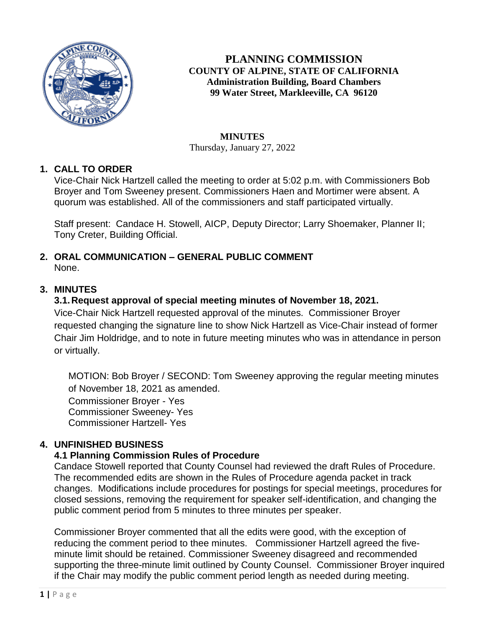

**PLANNING COMMISSION COUNTY OF ALPINE, STATE OF CALIFORNIA Administration Building, Board Chambers 99 Water Street, Markleeville, CA 96120**

### **MINUTES**

Thursday, January 27, 2022

## **1. CALL TO ORDER**

Vice-Chair Nick Hartzell called the meeting to order at 5:02 p.m. with Commissioners Bob Broyer and Tom Sweeney present. Commissioners Haen and Mortimer were absent. A quorum was established. All of the commissioners and staff participated virtually.

Staff present: Candace H. Stowell, AICP, Deputy Director; Larry Shoemaker, Planner II; Tony Creter, Building Official.

### **2. ORAL COMMUNICATION – GENERAL PUBLIC COMMENT** None.

## **3. MINUTES**

## **3.1.Request approval of special meeting minutes of November 18, 2021.**

Vice-Chair Nick Hartzell requested approval of the minutes. Commissioner Broyer requested changing the signature line to show Nick Hartzell as Vice-Chair instead of former Chair Jim Holdridge, and to note in future meeting minutes who was in attendance in person or virtually.

MOTION: Bob Broyer / SECOND: Tom Sweeney approving the regular meeting minutes of November 18, 2021 as amended.

Commissioner Broyer - Yes Commissioner Sweeney- Yes Commissioner Hartzell- Yes

# **4. UNFINISHED BUSINESS**

### **4.1 Planning Commission Rules of Procedure**

Candace Stowell reported that County Counsel had reviewed the draft Rules of Procedure. The recommended edits are shown in the Rules of Procedure agenda packet in track changes. Modifications include procedures for postings for special meetings, procedures for closed sessions, removing the requirement for speaker self-identification, and changing the public comment period from 5 minutes to three minutes per speaker.

Commissioner Broyer commented that all the edits were good, with the exception of reducing the comment period to thee minutes. Commissioner Hartzell agreed the fiveminute limit should be retained. Commissioner Sweeney disagreed and recommended supporting the three-minute limit outlined by County Counsel. Commissioner Broyer inquired if the Chair may modify the public comment period length as needed during meeting.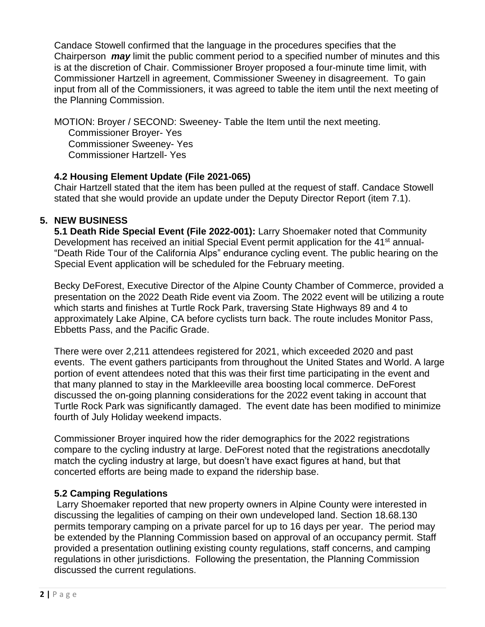Candace Stowell confirmed that the language in the procedures specifies that the Chairperson *may* limit the public comment period to a specified number of minutes and this is at the discretion of Chair. Commissioner Broyer proposed a four-minute time limit, with Commissioner Hartzell in agreement, Commissioner Sweeney in disagreement. To gain input from all of the Commissioners, it was agreed to table the item until the next meeting of the Planning Commission.

MOTION: Broyer / SECOND: Sweeney- Table the Item until the next meeting. Commissioner Broyer- Yes Commissioner Sweeney- Yes Commissioner Hartzell- Yes

### **4.2 Housing Element Update (File 2021-065)**

Chair Hartzell stated that the item has been pulled at the request of staff. Candace Stowell stated that she would provide an update under the Deputy Director Report (item 7.1).

## **5. NEW BUSINESS**

**5.1 Death Ride Special Event (File 2022-001):** Larry Shoemaker noted that Community Development has received an initial Special Event permit application for the 41<sup>st</sup> annual-"Death Ride Tour of the California Alps" endurance cycling event. The public hearing on the Special Event application will be scheduled for the February meeting.

Becky DeForest, Executive Director of the Alpine County Chamber of Commerce, provided a presentation on the 2022 Death Ride event via Zoom. The 2022 event will be utilizing a route which starts and finishes at Turtle Rock Park, traversing State Highways 89 and 4 to approximately Lake Alpine, CA before cyclists turn back. The route includes Monitor Pass, Ebbetts Pass, and the Pacific Grade.

There were over 2,211 attendees registered for 2021, which exceeded 2020 and past events. The event gathers participants from throughout the United States and World. A large portion of event attendees noted that this was their first time participating in the event and that many planned to stay in the Markleeville area boosting local commerce. DeForest discussed the on-going planning considerations for the 2022 event taking in account that Turtle Rock Park was significantly damaged. The event date has been modified to minimize fourth of July Holiday weekend impacts.

Commissioner Broyer inquired how the rider demographics for the 2022 registrations compare to the cycling industry at large. DeForest noted that the registrations anecdotally match the cycling industry at large, but doesn't have exact figures at hand, but that concerted efforts are being made to expand the ridership base.

### **5.2 Camping Regulations**

Larry Shoemaker reported that new property owners in Alpine County were interested in discussing the legalities of camping on their own undeveloped land. Section 18.68.130 permits temporary camping on a private parcel for up to 16 days per year. The period may be extended by the Planning Commission based on approval of an occupancy permit. Staff provided a presentation outlining existing county regulations, staff concerns, and camping regulations in other jurisdictions. Following the presentation, the Planning Commission discussed the current regulations.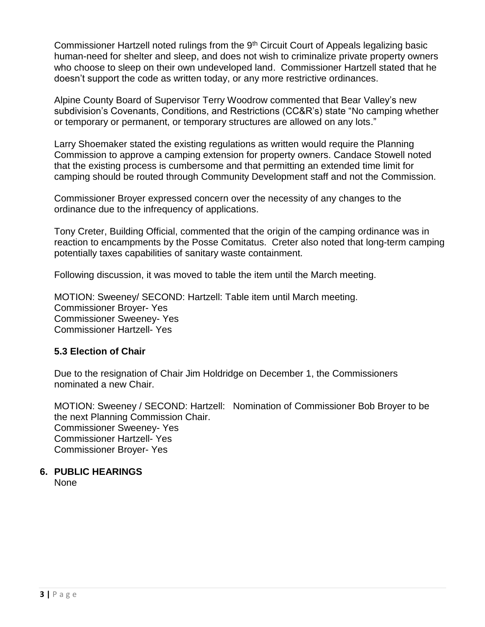Commissioner Hartzell noted rulings from the 9<sup>th</sup> Circuit Court of Appeals legalizing basic human-need for shelter and sleep, and does not wish to criminalize private property owners who choose to sleep on their own undeveloped land. Commissioner Hartzell stated that he doesn't support the code as written today, or any more restrictive ordinances.

Alpine County Board of Supervisor Terry Woodrow commented that Bear Valley's new subdivision's Covenants, Conditions, and Restrictions (CC&R's) state "No camping whether or temporary or permanent, or temporary structures are allowed on any lots."

Larry Shoemaker stated the existing regulations as written would require the Planning Commission to approve a camping extension for property owners. Candace Stowell noted that the existing process is cumbersome and that permitting an extended time limit for camping should be routed through Community Development staff and not the Commission.

Commissioner Broyer expressed concern over the necessity of any changes to the ordinance due to the infrequency of applications.

Tony Creter, Building Official, commented that the origin of the camping ordinance was in reaction to encampments by the Posse Comitatus. Creter also noted that long-term camping potentially taxes capabilities of sanitary waste containment.

Following discussion, it was moved to table the item until the March meeting.

MOTION: Sweeney/ SECOND: Hartzell: Table item until March meeting. Commissioner Broyer- Yes Commissioner Sweeney- Yes Commissioner Hartzell- Yes

#### **5.3 Election of Chair**

Due to the resignation of Chair Jim Holdridge on December 1, the Commissioners nominated a new Chair.

MOTION: Sweeney / SECOND: Hartzell: Nomination of Commissioner Bob Broyer to be the next Planning Commission Chair. Commissioner Sweeney- Yes Commissioner Hartzell- Yes Commissioner Broyer- Yes

### **6. PUBLIC HEARINGS**

None